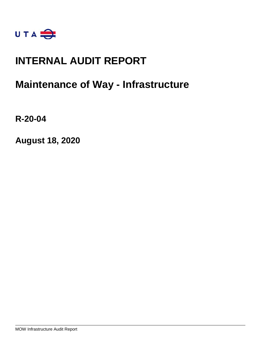

## **INTERNAL AUDIT REPORT**

## **Maintenance of Way - Infrastructure**

**R-20-04**

**August 18, 2020**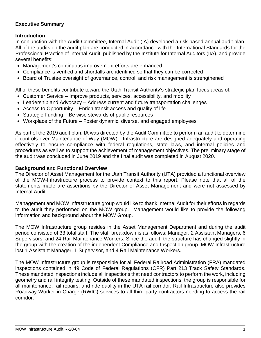## **Executive Summary**

### **Introduction**

In conjunction with the Audit Committee, Internal Audit (IA) developed a risk-based annual audit plan. All of the audits on the audit plan are conducted in accordance with the International Standards for the Professional Practice of Internal Audit, published by the Institute for Internal Auditors (IIA), and provide several benefits:

- Management's continuous improvement efforts are enhanced
- Compliance is verified and shortfalls are identified so that they can be corrected
- Board of Trustee oversight of governance, control, and risk management is strengthened

All of these benefits contribute toward the Utah Transit Authority's strategic plan focus areas of:

- Customer Service Improve products, services, accessibility, and mobility
- Leadership and Advocacy Address current and future transportation challenges
- Access to Opportunity Enrich transit access and quality of life
- Strategic Funding Be wise stewards of public resources
- Workplace of the Future Foster dynamic, diverse, and engaged employees

As part of the 2019 audit plan, IA was directed by the Audit Committee to perform an audit to determine if controls over Maintenance of Way (MOW) - Infrastructure are designed adequately and operating effectively to ensure compliance with federal regulations, state laws, and internal policies and procedures as well as to support the achievement of management objectives. The preliminary stage of the audit was concluded in June 2019 and the final audit was completed in August 2020.

#### **Background and Functional Overview**

The Director of Asset Management for the Utah Transit Authority (UTA) provided a functional overview of the MOW-Infrastructure process to provide context to this report. Please note that all of the statements made are assertions by the Director of Asset Management and were not assessed by Internal Audit.

Management and MOW Infrastructure group would like to thank Internal Audit for their efforts in regards to the audit they performed on the MOW group. Management would like to provide the following information and background about the MOW Group.

The MOW Infrastructure group resides in the Asset Management Department and during the audit period consisted of 33 total staff. The staff breakdown is as follows; Manager, 2 Assistant Managers, 6 Supervisors, and 24 Rail Maintenance Workers. Since the audit, the structure has changed slightly in the group with the creation of the independent Compliance and Inspection group. MOW Infrastructure lost 1 Assistant Manager, 1 Supervisor, and 4 Rail Maintenance Workers.

The MOW Infrastructure group is responsible for all Federal Railroad Administration (FRA) mandated inspections contained in 49 Code of Federal Regulations (CFR) Part 213 Track Safety Standards. These mandated inspections include all inspections that need contractors to perform the work, including geometry and rail integrity testing. Outside of these mandated inspections, the group is responsible for all maintenance, rail repairs, and ride quality in the UTA rail corridor. Rail Infrastructure also provides Roadway Worker in Charge (RWIC) services to all third party contractors needing to access the rail corridor.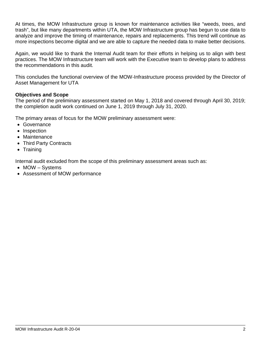At times, the MOW Infrastructure group is known for maintenance activities like "weeds, trees, and trash", but like many departments within UTA, the MOW Infrastructure group has begun to use data to analyze and improve the timing of maintenance, repairs and replacements. This trend will continue as more inspections become digital and we are able to capture the needed data to make better decisions.

Again, we would like to thank the Internal Audit team for their efforts in helping us to align with best practices. The MOW Infrastructure team will work with the Executive team to develop plans to address the recommendations in this audit.

This concludes the functional overview of the MOW-Infrastructure process provided by the Director of Asset Management for UTA

## **Objectives and Scope**

The period of the preliminary assessment started on May 1, 2018 and covered through April 30, 2019; the completion audit work continued on June 1, 2019 through July 31, 2020.

The primary areas of focus for the MOW preliminary assessment were:

- Governance
- Inspection
- Maintenance
- Third Party Contracts
- Training

Internal audit excluded from the scope of this preliminary assessment areas such as:

- MOW Systems
- Assessment of MOW performance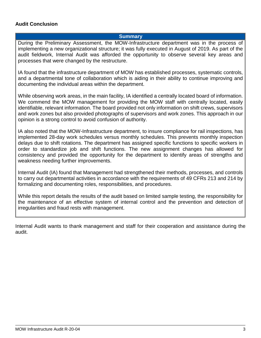### **Audit Conclusion**

#### **Summary**

During the Preliminary Assessment, the MOW-Infrastructure department was in the process of implementing a new organizational structure; it was fully executed in August of 2019. As part of the audit fieldwork, Internal Audit was afforded the opportunity to observe several key areas and processes that were changed by the restructure.

IA found that the infrastructure department of MOW has established processes, systematic controls, and a departmental tone of collaboration which is aiding in their ability to continue improving and documenting the individual areas within the department.

While observing work areas, in the main facility, IA identified a centrally located board of information. We commend the MOW management for providing the MOW staff with centrally located, easily identifiable, relevant information. The board provided not only information on shift crews, supervisors and work zones but also provided photographs of supervisors and work zones. This approach in our opinion is a strong control to avoid confusion of authority.

IA also noted that the MOW-Infrastructure department, to insure compliance for rail inspections, has implemented 28-day work schedules versus monthly schedules. This prevents monthly inspection delays due to shift rotations. The department has assigned specific functions to specific workers in order to standardize job and shift functions. The new assignment changes has allowed for consistency and provided the opportunity for the department to identify areas of strengths and weakness needing further improvements.

Internal Audit (IA) found that Management had strengthened their methods, processes, and controls to carry out departmental activities in accordance with the requirements of 49 CFRs 213 and 214 by formalizing and documenting roles, responsibilities, and procedures.

While this report details the results of the audit based on limited sample testing, the responsibility for the maintenance of an effective system of internal control and the prevention and detection of irregularities and fraud rests with management.

Internal Audit wants to thank management and staff for their cooperation and assistance during the audit.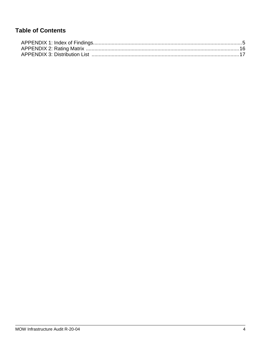## **Table of Contents**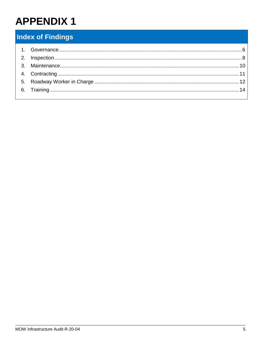## <span id="page-5-0"></span>**Index of Findings**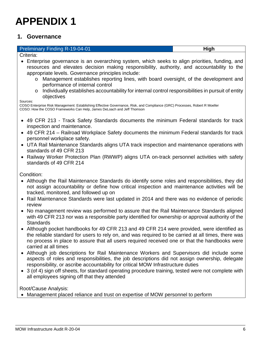## <span id="page-6-0"></span>**1. Governance**

#### **Preliminary Finding R-19-04-01 High High**

Criteria:

- Enterprise governance is an overarching system, which seeks to align priorities, funding, and resources and elevates decision making responsibility, authority, and accountability to the appropriate levels. Governance principles include:
	- o Management establishes reporting lines, with board oversight, of the development and performance of internal control
	- $\circ$  Individually establishes accountability for internal control responsibilities in pursuit of entity objectives

Sources:

COSO Enterprise Risk Management: Establishing Effective Governance, Risk, and Compliance (GRC) Processes, Robert R Moeller COSO: How the COSO Frameworks Can Help, James DeLoach and Jeff Thomson

- 49 CFR 213 Track Safety Standards documents the minimum Federal standards for track inspection and maintenance.
- 49 CFR 214 Railroad Workplace Safety documents the minimum Federal standards for track personnel workplace safety.
- UTA Rail Maintenance Standards aligns UTA track inspection and maintenance operations with standards of 49 CFR 213
- Railway Worker Protection Plan (RWWP) aligns UTA on-track personnel activities with safety standards of 49 CFR 214

Condition:

- Although the Rail Maintenance Standards do identify some roles and responsibilities, they did not assign accountability or define how critical inspection and maintenance activities will be tracked, monitored, and followed up on
- Rail Maintenance Standards were last updated in 2014 and there was no evidence of periodic review
- No management review was performed to assure that the Rail Maintenance Standards aligned with 49 CFR 213 nor was a responsible party identified for ownership or approval authority of the **Standards**
- Although pocket handbooks for 49 CFR 213 and 49 CFR 214 were provided, were identified as the reliable standard for users to rely on, and was required to be carried at all times, there was no process in place to assure that all users required received one or that the handbooks were carried at all times
- Although job descriptions for Rail Maintenance Workers and Supervisors did include some aspects of roles and responsibilities, the job descriptions did not assign ownership, delegate responsibility, or ascribe accountability for critical MOW Infrastructure duties
- 3 (of 4) sign off sheets, for standard operating procedure training, tested were not complete with all employees signing off that they attended

Root/Cause Analysis:

• Management placed reliance and trust on expertise of MOW personnel to perform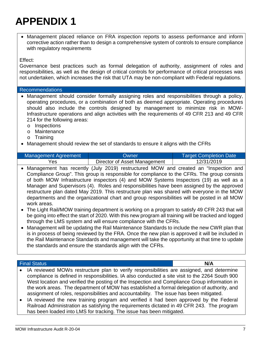• Management placed reliance on FRA inspection reports to assess performance and inform corrective action rather than to design a comprehensive system of controls to ensure compliance with regulatory requirements

### Effect:

Governance best practices such as formal delegation of authority, assignment of roles and responsibilities, as well as the design of critical controls for performance of critical processes was not undertaken, which increases the risk that UTA may be non-compliant with Federal regulations.

#### Recommendations

- Management should consider formally assigning roles and responsibilities through a policy, operating procedures, or a combination of both as deemed appropriate. Operating procedures should also include the controls designed by management to minimize risk in MOW-Infrastructure operations and align activities with the requirements of 49 CFR 213 and 49 CFR 214 for the following areas:
	- o Inspections
	- o Maintenance
	- o Training
- Management should review the set of standards to ensure it aligns with the CFRs

| <b>Management Agreement</b> | Owner                        | <b>Target Completion Date</b> |
|-----------------------------|------------------------------|-------------------------------|
| Yes                         | Director of Asset Management | 12/31/2019                    |

- Management has recently (July 2019) restructured MOW and created an "Inspection and Compliance Group". This group is responsible for compliance to the CFRs. The group consists of both MOW Infrastructure inspectors (4) and MOW Systems Inspectors (19) as well as a Manager and Supervisors (4). Roles and responsibilities have been assigned by the approved restructure plan dated May 2019. This restructure plan was shared with everyone in the MOW departments and the organizational chart and group responsibilities will be posted in all MOW work areas.
- The Light Rail/MOW training department is working on a program to satisfy 49 CFR 243 that will be going into effect the start of 2020. With this new program all training will be tracked and logged through the LMS system and will ensure compliance with the CFRs.
- Management will be updating the Rail Maintenance Standards to include the new CWR plan that is in process of being reviewed by the FRA. Once the new plan is approved it will be included in the Rail Maintenance Standards and management will take the opportunity at that time to update the standards and ensure the standards align with the CFRs.

### Final Status **N/A**

- IA reviewed MOWs restructure plan to verify responsibilities are assigned, and determine compliance is defined in responsibilities. IA also conducted a site visit to the 2264 South 900 West location and verified the posting of the Inspection and Compliance Group information in the work areas. The department of MOW has established a formal delegation of authority, and assignment of roles, responsibilities and accountability. The issue has been mitigated.
- IA reviewed the new training program and verified it had been approved by the Federal Railroad Administration as satisfying the requirements dictated in 49 CFR 243. The program has been loaded into LMS for tracking. The issue has been mitigated.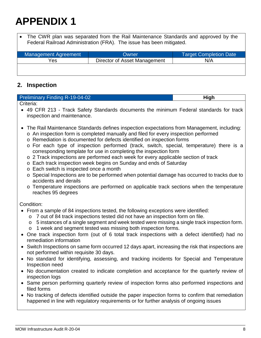The CWR plan was separated from the Rail Maintenance Standards and approved by the Federal Railroad Administration (FRA). The issue has been mitigated.

| <b>Management Agreement</b> | Owner                        | <b>Target Completion Date</b> |
|-----------------------------|------------------------------|-------------------------------|
| Yes                         | Director of Asset Management | N/A                           |
|                             |                              |                               |
|                             |                              |                               |

## <span id="page-8-0"></span>**2. Inspection**

| <b>Preliminary Finding R-19-04-02</b> |  |
|---------------------------------------|--|
| Criteria:                             |  |

• 49 CFR 213 - Track Safety Standards documents the minimum Federal standards for track inspection and maintenance.

- The Rail Maintenance Standards defines inspection expectations from Management, including:
	- o An inspection form is completed manually and filed for every inspection performed
	- o Remediation is documented for defects identified on inspection forms
	- o For each type of inspection performed (track, switch, special, temperature) there is a corresponding template for use in completing the inspection form
	- o 2 Track inspections are performed each week for every applicable section of track
	- o Each track inspection week begins on Sunday and ends of Saturday
	- o Each switch is inspected once a month
	- o Special Inspections are to be performed when potential damage has occurred to tracks due to accidents and derails
	- o Temperature inspections are performed on applicable track sections when the temperature reaches 95 degrees

#### Condition:

- From a sample of 84 inspections tested, the following exceptions were identified:
	- o 7 out of 84 track inspections tested did not have an inspection form on file.
	- o 5 instances of a single segment and week tested were missing a single track inspection form.
	- o 1 week and segment tested was missing both inspection forms.
- One track inspection form (out of 6 total track inspections with a defect identified) had no remediation information
- Switch Inspections on same form occurred 12 days apart, increasing the risk that inspections are not performed within requisite 30 days.
- No standard for identifying, assessing, and tracking incidents for Special and Temperature Inspection need
- No documentation created to indicate completion and acceptance for the quarterly review of inspection logs
- Same person performing quarterly review of inspection forms also performed inspections and filed forms
- No tracking of defects identified outside the paper inspection forms to confirm that remediation happened in line with regulatory requirements or for further analysis of ongoing issues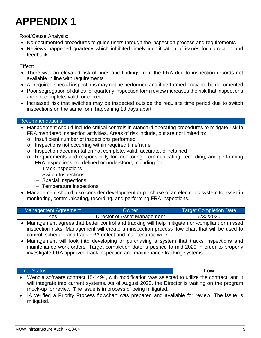Root/Cause Analysis:

- No documented procedures to quide users through the inspection process and requirements
- Reviews happened quarterly which inhibited timely identification of issues for correction and feedback

Effect:

- There was an elevated risk of fines and findings from the FRA due to inspection records not available in line with requirements
- All required special inspections may not be performed and if performed, may not be documented
- Poor segregation of duties for quarterly inspection form review increases the risk that inspections are not complete, valid, or correct
- Increased risk that switches may be inspected outside the requisite time period due to switch inspections on the same form happening 13 days apart

### Recommendations

- Management should include critical controls in standard operating procedures to mitigate risk in FRA mandated inspection activities. Areas of risk include, but are not limited to:
	- o Insufficient number of inspections performed
	- o Inspections not occurring within required timeframe
	- o Inspection documentation not complete, valid, accurate, or retained
	- o Requirements and responsibility for monitoring, communicating, recording, and performing FRA inspections not defined or understood, including for:
		- Track inspections
		- Switch Inspections
		- Special Inspections
		- Temperature inspections
- Management should also consider development or purchase of an electronic system to assist in monitoring, communicating, recording, and performing FRA inspections.

| Management Agreement | Owner                        | <b>Target Completion Date</b> |
|----------------------|------------------------------|-------------------------------|
| Yes                  | Director of Asset Management | 6/30/2020                     |

- Management agrees that better control and tracking will help mitigate non-compliant or missed inspection risks. Management will create an inspection process flow chart that will be used to control, schedule and track FRA defect and maintenance work.
- Management will look into developing or purchasing a system that tracks inspections and maintenance work orders. Target completion date is pushed to mid-2020 in order to properly investigate FRA approved track inspection and maintenance tracking systems.

#### Final Status **Low**

- Wendia software contract 15-1494, with modification was selected to utilize the contract, and it will integrate into current systems. As of August 2020, the Director is waiting on the program mock-up for review. The issue is in process of being mitigated.
- IA verified a Priority Process flowchart was prepared and available for review. The issue is mitigated.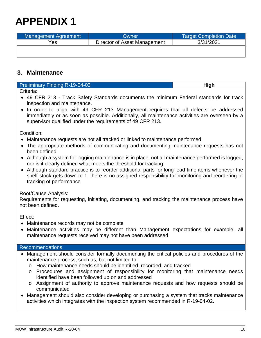| Management Agreement | Owner                        | <b>Target Completion Date</b> |
|----------------------|------------------------------|-------------------------------|
| Yes                  | Director of Asset Management | 3/31/2021                     |
|                      |                              |                               |

## <span id="page-10-0"></span>**3. Maintenance**

| <b>Preliminary Finding R-19-04-03</b>                                                   | <b>High</b> |
|-----------------------------------------------------------------------------------------|-------------|
| Criteria:                                                                               |             |
| • 49 CFR 213 - Track Safety Standards documents the minimum Federal standards for track |             |

inspection and maintenance. • In order to align with 49 CFR 213 Management requires that all defects be addressed immediately or as soon as possible. Additionally, all maintenance activities are overseen by a supervisor qualified under the requirements of 49 CFR 213.

Condition:

- Maintenance requests are not all tracked or linked to maintenance performed
- The appropriate methods of communicating and documenting maintenance requests has not been defined
- Although a system for logging maintenance is in place, not all maintenance performed is logged, nor is it clearly defined what meets the threshold for tracking
- Although standard practice is to reorder additional parts for long lead time items whenever the shelf stock gets down to 1, there is no assigned responsibility for monitoring and reordering or tracking of performance

## Root/Cause Analysis:

Requirements for requesting, initiating, documenting, and tracking the maintenance process have not been defined.

Effect:

- Maintenance records may not be complete
- Maintenance activities may be different than Management expectations for example, all maintenance requests received may not have been addressed

#### Recommendations

- Management should consider formally documenting the critical policies and procedures of the maintenance process, such as, but not limited to:
	- o How maintenance needs should be identified, recorded, and tracked
	- o Procedures and assignment of responsibility for monitoring that maintenance needs identified have been followed up on and addressed
	- o Assignment of authority to approve maintenance requests and how requests should be communicated
- Management should also consider developing or purchasing a system that tracks maintenance activities which integrates with the inspection system recommended in R-19-04-02.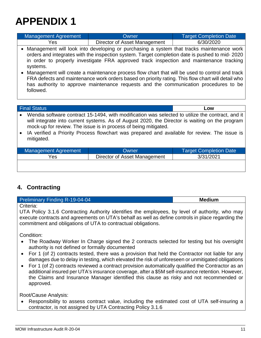| Management Agreement | Owner                        | <b>Target Completion Date</b> |
|----------------------|------------------------------|-------------------------------|
| Yes                  | Director of Asset Management | 6/30/2020                     |
|                      |                              |                               |

- Management will look into developing or purchasing a system that tracks maintenance work orders and integrates with the inspection system. Target completion date is pushed to mid- 2020 in order to properly investigate FRA approved track inspection and maintenance tracking systems.
- Management will create a maintenance process flow chart that will be used to control and track FRA defects and maintenance work orders based on priority rating. This flow chart will detail who has authority to approve maintenance requests and the communication procedures to be followed.

#### Final Status **Low**

- Wendia software contract 15-1494, with modification was selected to utilize the contract, and it will integrate into current systems. As of August 2020, the Director is waiting on the program mock-up for review. The issue is in process of being mitigated.
- IA verified a Priority Process flowchart was prepared and available for review. The issue is mitigated.

| <b>Management Agreement</b> | Owner                        | <b>Target Completion Date</b> |
|-----------------------------|------------------------------|-------------------------------|
| Yes                         | Director of Asset Management | 3/31/2021                     |
|                             |                              |                               |

## <span id="page-11-0"></span>**4. Contracting**

| Preliminary Finding R-19-04-04                                                                     | <b>Medium</b> |
|----------------------------------------------------------------------------------------------------|---------------|
| l Criteria:                                                                                        |               |
| UTA Policy 3.1.6 Contracting Authority identifies the employees, by level of authority, who may    |               |
| execute contracts and agreements on UTA's behalf as well as define controls in place regarding the |               |

commitment and obligations of UTA to contractual obligations.

Condition:

- The Roadway Worker In Charge signed the 2 contracts selected for testing but his oversight authority is not defined or formally documented
- For 1 (of 2) contracts tested, there was a provision that held the Contractor not liable for any damages due to delay in testing, which elevated the risk of unforeseen or unmitigated obligations
- For 1 (of 2) contracts reviewed a contract provision automatically qualified the Contractor as an additional insured per UTA's insurance coverage, after a \$5M self-insurance retention. However, the Claims and Insurance Manager identified this clause as risky and not recommended or approved.

Root/Cause Analysis:

• Responsibility to assess contract value, including the estimated cost of UTA self-insuring a contractor, is not assigned by UTA Contracting Policy 3.1.6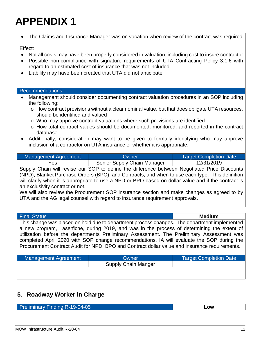| The Claims and Insurance Manager was on vacation when review of the contract was required                                                                                                                                                                                                                                                                           |
|---------------------------------------------------------------------------------------------------------------------------------------------------------------------------------------------------------------------------------------------------------------------------------------------------------------------------------------------------------------------|
| Effect:<br>Not all costs may have been properly considered in valuation, including cost to insure contractor<br>$\bullet$<br>Possible non-compliance with signature requirements of UTA Contracting Policy 3.1.6 with<br>$\bullet$<br>regard to an estimated cost of insurance that was not included<br>Liability may have been created that UTA did not anticipate |
| <b>Recommendations</b>                                                                                                                                                                                                                                                                                                                                              |
| Management should consider documenting contract valuation procedures in an SOP including                                                                                                                                                                                                                                                                            |
| the following:                                                                                                                                                                                                                                                                                                                                                      |
| o How contract provisions without a clear nominal value, but that does obligate UTA resources,<br>should be identified and valued                                                                                                                                                                                                                                   |
| o Who may approve contract valuations where such provisions are identified                                                                                                                                                                                                                                                                                          |
| o How total contract values should be documented, monitored, and reported in the contract<br>database                                                                                                                                                                                                                                                               |
| Additionally, consideration may want to be given to formally identifying who may approve                                                                                                                                                                                                                                                                            |
| inclusion of a contractor on UTA insurance or whether it is appropriate.                                                                                                                                                                                                                                                                                            |
| <b>Management Agreement</b><br>Owner<br><b>Target Completion Date</b>                                                                                                                                                                                                                                                                                               |
| Yes<br>Senior Supply Chain Manager<br>12/31/2019                                                                                                                                                                                                                                                                                                                    |
| Supply Chain will revise our SOP to define the difference between Negotiated Price Discounts                                                                                                                                                                                                                                                                        |
| (NPD), Blanket Purchase Orders (BPO), and Contracts, and when to use each type. This definition                                                                                                                                                                                                                                                                     |
| will clarify when it is appropriate to use a NPD or BPO based on dollar value and if the contract is                                                                                                                                                                                                                                                                |
| an exclusivity contract or not.                                                                                                                                                                                                                                                                                                                                     |
| We will also review the Procurement SOP insurance section and make changes as agreed to by<br>UTA and the AG legal counsel with regard to insurance requirement approvals.                                                                                                                                                                                          |
|                                                                                                                                                                                                                                                                                                                                                                     |
|                                                                                                                                                                                                                                                                                                                                                                     |
| <b>Medium</b><br><b>Final Status</b>                                                                                                                                                                                                                                                                                                                                |
|                                                                                                                                                                                                                                                                                                                                                                     |
| This change was placed on hold due to department process changes. The department implemented<br>a new program, Laserfiche, during 2019, and was in the process of determining the extent of                                                                                                                                                                         |

| <b>Management Agreement</b> | Owner               | <b>Target Completion Date \</b> |
|-----------------------------|---------------------|---------------------------------|
|                             | Supply Chain Manger |                                 |
|                             |                     |                                 |

completed April 2020 with SOP change recommendations. IA will evaluate the SOP during the Procurement Contract Audit for NPD, BPO and Contract dollar value and insurance requirements.

## <span id="page-12-0"></span>**5. Roadway Worker in Charge**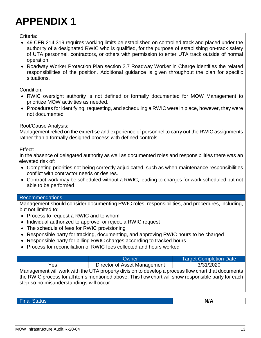### Criteria:

- 49 CFR 214.319 requires working limits be established on controlled track and placed under the authority of a designated RWIC who is qualified, for the purpose of establishing on-track safety of UTA personnel, contractors, or others with permission to enter UTA track outside of normal operation.
- Roadway Worker Protection Plan section 2.7 Roadway Worker in Charge identifies the related responsibilities of the position. Additional guidance is given throughout the plan for specific situations.

Condition:

- RWIC oversight authority is not defined or formally documented for MOW Management to prioritize MOW activities as needed.
- Procedures for identifying, requesting, and scheduling a RWIC were in place, however, they were not documented

## Root/Cause Analysis:

Management relied on the expertise and experience of personnel to carry out the RWIC assignments rather than a formally designed process with defined controls

Effect:

In the absence of delegated authority as well as documented roles and responsibilities there was an elevated risk of:

- Competing priorities not being correctly adjudicated, such as when maintenance responsibilities conflict with contractor needs or desires.
- Contract work may be scheduled without a RWIC, leading to charges for work scheduled but not able to be performed

## Recommendations

Management should consider documenting RWIC roles, responsibilities, and procedures, including, but not limited to:

- Process to request a RWIC and to whom
- Individual authorized to approve, or reject, a RWIC request
- The schedule of fees for RWIC provisioning
- Responsible party for tracking, documenting, and approving RWIC hours to be charged
- Responsible party for billing RWIC charges according to tracked hours
- Process for reconciliation of RWIC fees collected and hours worked

|                                                                                                                                            | <b>Owner</b>                 | <b>Target Completion Date</b> |
|--------------------------------------------------------------------------------------------------------------------------------------------|------------------------------|-------------------------------|
| Yes                                                                                                                                        | Director of Asset Management | 3/31/2020                     |
| بملورم ومسروعات فالملاطون ويرودا وموجوده وبواديه والمردام والمردان والمرور ومستور والتاريخ المتارين والمسترات المروحين والمستورة والمستحدث |                              |                               |

Management will work with the UTA property division to develop a process flow chart that documents the RWIC process for all items mentioned above. This flow chart will show responsible party for each step so no misunderstandings will occur.

Final Status **N/A**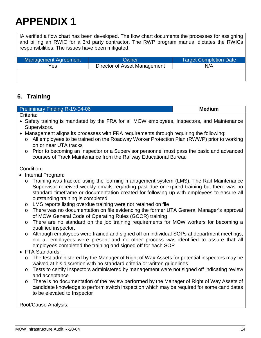IA verified a flow chart has been developed. The flow chart documents the processes for assigning and billing an RWIC for a 3rd party contractor. The RWP program manual dictates the RWICs responsibilities. The issues have been mitigated.

| Management Agreement | Owner                        | <b>Target Completion Date</b> |  |
|----------------------|------------------------------|-------------------------------|--|
| Yes                  | Director of Asset Management | N/A                           |  |
|                      |                              |                               |  |

## <span id="page-14-0"></span>**6. Training**

| <b>Preliminary Finding R-19-04-06</b> | <b>Medium</b> |
|---------------------------------------|---------------|
| Criteria:                             |               |

- Safety training is mandated by the FRA for all MOW employees, Inspectors, and Maintenance Supervisors.
- Management aligns its processes with FRA requirements through requiring the following:
	- o All employees to be trained on the Roadway Worker Protection Plan (RWWP) prior to working on or near UTA tracks
	- o Prior to becoming an Inspector or a Supervisor personnel must pass the basic and advanced courses of Track Maintenance from the Railway Educational Bureau

## Condition:

- Internal Program:
	- o Training was tracked using the learning management system (LMS). The Rail Maintenance Supervisor received weekly emails regarding past due or expired training but there was no standard timeframe or documentation created for following up with employees to ensure all outstanding training is completed
	- o LMS reports listing overdue training were not retained on file
	- o There was no documentation on file evidencing the former UTA General Manager's approval of MOW General Code of Operating Rules (GCOR) training
	- o There are no standard on the job training requirements for MOW workers for becoming a qualified inspector.
	- o Although employees were trained and signed off on individual SOPs at department meetings, not all employees were present and no other process was identified to assure that all employees completed the training and signed off for each SOP
- FTA Standards:
	- o The test administered by the Manager of Right of Way Assets for potential inspectors may be waived at his discretion with no standard criteria or written guidelines
	- o Tests to certify Inspectors administered by management were not signed off indicating review and acceptance
	- o There is no documentation of the review performed by the Manager of Right of Way Assets of candidate knowledge to perform switch inspection which may be required for some candidates to be elevated to Inspector

## Root/Cause Analysis: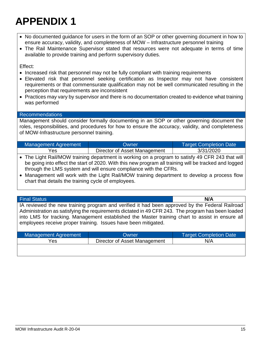- No documented guidance for users in the form of an SOP or other governing document in how to ensure accuracy, validity, and completeness of MOW – Infrastructure personnel training
- The Rail Maintenance Supervisor stated that resources were not adequate in terms of time available to provide training and perform supervisory duties.

Effect:

- Increased risk that personnel may not be fully compliant with training requirements
- Elevated risk that personnel seeking certification as Inspector may not have consistent requirements or that commensurate qualification may not be well communicated resulting in the perception that requirements are inconsistent
- Practices may vary by supervisor and there is no documentation created to evidence what training was performed

#### Recommendations

Management should consider formally documenting in an SOP or other governing document the roles, responsibilities, and procedures for how to ensure the accuracy, validity, and completeness of MOW-Infrastructure personnel training.

| Management Agreement | Owner                        | <b>Target Completion Date</b> |
|----------------------|------------------------------|-------------------------------|
| Yes                  | Director of Asset Management | 3/31/2020                     |

• The Light Rail/MOW training department is working on a program to satisfy 49 CFR 243 that will be going into effect the start of 2020. With this new program all training will be tracked and logged through the LMS system and will ensure compliance with the CFRs.

• Management will work with the Light Rail/MOW training department to develop a process flow chart that details the training cycle of employees.

Final Status **N/A** IA reviewed the new training program and verified it had been approved by the Federal Railroad Administration as satisfying the requirements dictated in 49 CFR 243. The program has been loaded into LMS for tracking. Management established the Master training chart to assist in ensure all employees receive proper training. Issues have been mitigated.

| Management Agreement | Owner                        | <b>Target Completion Date</b> |
|----------------------|------------------------------|-------------------------------|
| Yes                  | Director of Asset Management | N/A                           |
|                      |                              |                               |
|                      |                              |                               |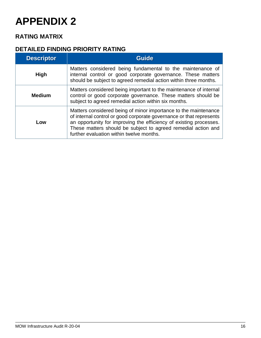## <span id="page-16-0"></span>**RATING MATRIX**

## **DETAILED FINDING PRIORITY RATING**

| <b>Descriptor</b> | <b>Guide</b>                                                                                                                                                                                                                                                                                                              |
|-------------------|---------------------------------------------------------------------------------------------------------------------------------------------------------------------------------------------------------------------------------------------------------------------------------------------------------------------------|
| <b>High</b>       | Matters considered being fundamental to the maintenance of<br>internal control or good corporate governance. These matters<br>should be subject to agreed remedial action within three months.                                                                                                                            |
| <b>Medium</b>     | Matters considered being important to the maintenance of internal<br>control or good corporate governance. These matters should be<br>subject to agreed remedial action within six months.                                                                                                                                |
| Low               | Matters considered being of minor importance to the maintenance<br>of internal control or good corporate governance or that represents<br>an opportunity for improving the efficiency of existing processes.<br>These matters should be subject to agreed remedial action and<br>further evaluation within twelve months. |